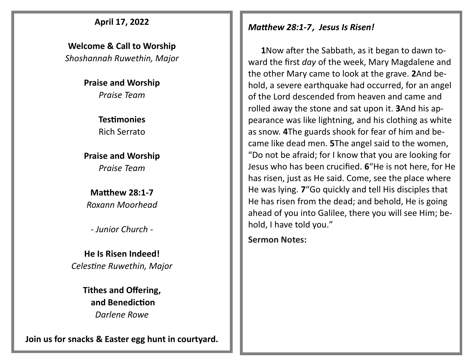#### **April 17, 2022**

**Welcome & Call to Worship**  *Shoshannah Ruwethin, Major*

> **Praise and Worship** *Praise Team*

> > **Testimonies** Rich Serrato

**Praise and Worship** *Praise Team*

**Matthew 28:1-7** *Roxann Moorhead*

*- Junior Church -*

**He Is Risen Indeed!** *Celestine Ruwethin, Major*

> **Tithes and Offering, and Benediction** *Darlene Rowe*

**Join us for snacks & Easter egg hunt in courtyard.**

#### *Matthew 28:1-7, Jesus Is Risen!*

 **1**[N](http://biblehub.com/matthew/28-1.htm)ow after the Sabbath, as it began to dawn toward the first *day* of the week, Mary Magdalene and the other Mary came to look at the grave. **2**[A](http://biblehub.com/matthew/28-2.htm)nd behold, a severe earthquake had occurred, for an angel of the Lord descended from heaven and came and rolled away the stone and sat upon it. **3**[An](http://biblehub.com/matthew/28-3.htm)d his appearance was like lightning, and his clothing as white as snow. **[4](http://biblehub.com/matthew/28-4.htm)**The guards shook for fear of him and became like dead men. **[5](http://biblehub.com/matthew/28-5.htm)**The angel said to the women, "Do not be afraid; for I know that you are looking for Jesus who has been crucified. **[6](http://biblehub.com/matthew/28-6.htm)**"He is not here, for He has risen, just as He said. Come, see the place where He was lying. **[7](http://biblehub.com/matthew/28-7.htm)**"Go quickly and tell His disciples that He has risen from the dead; and behold, He is going ahead of you into Galilee, there you will see Him; behold, I have told you."

**Sermon Notes:**